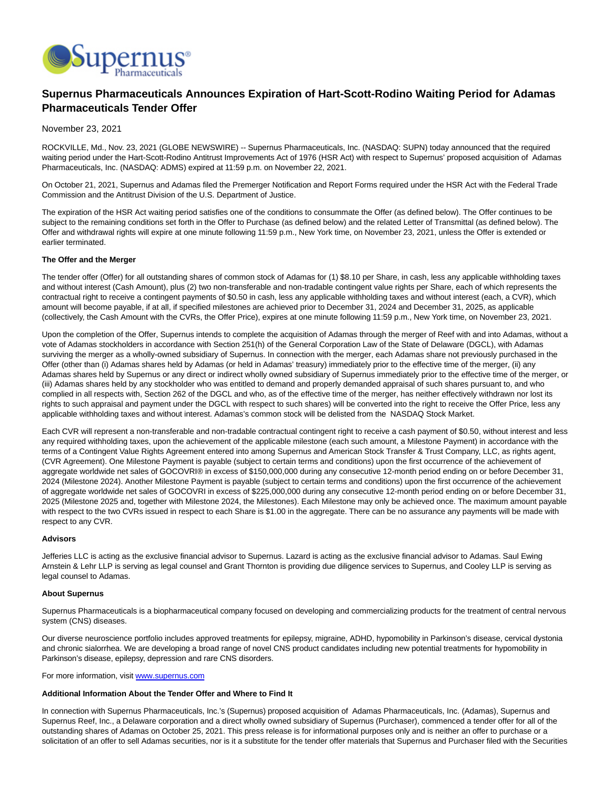

# **Supernus Pharmaceuticals Announces Expiration of Hart-Scott-Rodino Waiting Period for Adamas Pharmaceuticals Tender Offer**

## November 23, 2021

ROCKVILLE, Md., Nov. 23, 2021 (GLOBE NEWSWIRE) -- Supernus Pharmaceuticals, Inc. (NASDAQ: SUPN) today announced that the required waiting period under the Hart-Scott-Rodino Antitrust Improvements Act of 1976 (HSR Act) with respect to Supernus' proposed acquisition of Adamas Pharmaceuticals, Inc. (NASDAQ: ADMS) expired at 11:59 p.m. on November 22, 2021.

On October 21, 2021, Supernus and Adamas filed the Premerger Notification and Report Forms required under the HSR Act with the Federal Trade Commission and the Antitrust Division of the U.S. Department of Justice.

The expiration of the HSR Act waiting period satisfies one of the conditions to consummate the Offer (as defined below). The Offer continues to be subject to the remaining conditions set forth in the Offer to Purchase (as defined below) and the related Letter of Transmittal (as defined below). The Offer and withdrawal rights will expire at one minute following 11:59 p.m., New York time, on November 23, 2021, unless the Offer is extended or earlier terminated.

## **The Offer and the Merger**

The tender offer (Offer) for all outstanding shares of common stock of Adamas for (1) \$8.10 per Share, in cash, less any applicable withholding taxes and without interest (Cash Amount), plus (2) two non-transferable and non-tradable contingent value rights per Share, each of which represents the contractual right to receive a contingent payments of \$0.50 in cash, less any applicable withholding taxes and without interest (each, a CVR), which amount will become payable, if at all, if specified milestones are achieved prior to December 31, 2024 and December 31, 2025, as applicable (collectively, the Cash Amount with the CVRs, the Offer Price), expires at one minute following 11:59 p.m., New York time, on November 23, 2021.

Upon the completion of the Offer, Supernus intends to complete the acquisition of Adamas through the merger of Reef with and into Adamas, without a vote of Adamas stockholders in accordance with Section 251(h) of the General Corporation Law of the State of Delaware (DGCL), with Adamas surviving the merger as a wholly-owned subsidiary of Supernus. In connection with the merger, each Adamas share not previously purchased in the Offer (other than (i) Adamas shares held by Adamas (or held in Adamas' treasury) immediately prior to the effective time of the merger, (ii) any Adamas shares held by Supernus or any direct or indirect wholly owned subsidiary of Supernus immediately prior to the effective time of the merger, or (iii) Adamas shares held by any stockholder who was entitled to demand and properly demanded appraisal of such shares pursuant to, and who complied in all respects with, Section 262 of the DGCL and who, as of the effective time of the merger, has neither effectively withdrawn nor lost its rights to such appraisal and payment under the DGCL with respect to such shares) will be converted into the right to receive the Offer Price, less any applicable withholding taxes and without interest. Adamas's common stock will be delisted from the NASDAQ Stock Market.

Each CVR will represent a non-transferable and non-tradable contractual contingent right to receive a cash payment of \$0.50, without interest and less any required withholding taxes, upon the achievement of the applicable milestone (each such amount, a Milestone Payment) in accordance with the terms of a Contingent Value Rights Agreement entered into among Supernus and American Stock Transfer & Trust Company, LLC, as rights agent, (CVR Agreement). One Milestone Payment is payable (subject to certain terms and conditions) upon the first occurrence of the achievement of aggregate worldwide net sales of GOCOVRI® in excess of \$150,000,000 during any consecutive 12-month period ending on or before December 31, 2024 (Milestone 2024). Another Milestone Payment is payable (subject to certain terms and conditions) upon the first occurrence of the achievement of aggregate worldwide net sales of GOCOVRI in excess of \$225,000,000 during any consecutive 12-month period ending on or before December 31, 2025 (Milestone 2025 and, together with Milestone 2024, the Milestones). Each Milestone may only be achieved once. The maximum amount payable with respect to the two CVRs issued in respect to each Share is \$1.00 in the aggregate. There can be no assurance any payments will be made with respect to any CVR.

#### **Advisors**

Jefferies LLC is acting as the exclusive financial advisor to Supernus. Lazard is acting as the exclusive financial advisor to Adamas. Saul Ewing Arnstein & Lehr LLP is serving as legal counsel and Grant Thornton is providing due diligence services to Supernus, and Cooley LLP is serving as legal counsel to Adamas.

## **About Supernus**

Supernus Pharmaceuticals is a biopharmaceutical company focused on developing and commercializing products for the treatment of central nervous system (CNS) diseases.

Our diverse neuroscience portfolio includes approved treatments for epilepsy, migraine, ADHD, hypomobility in Parkinson's disease, cervical dystonia and chronic sialorrhea. We are developing a broad range of novel CNS product candidates including new potential treatments for hypomobility in Parkinson's disease, epilepsy, depression and rare CNS disorders.

For more information, visit [www.supernus.com](https://www.globenewswire.com/Tracker?data=e3IlkVlLZXCj2wKVnwCmEERPrGeow9OcQr2FMO6UnAvqsyy05qT1X1DWTb2NAdb3JMQpB8r4xSZZkevt2xs99w==)

#### **Additional Information About the Tender Offer and Where to Find It**

In connection with Supernus Pharmaceuticals, Inc.'s (Supernus) proposed acquisition of Adamas Pharmaceuticals, Inc. (Adamas), Supernus and Supernus Reef, Inc., a Delaware corporation and a direct wholly owned subsidiary of Supernus (Purchaser), commenced a tender offer for all of the outstanding shares of Adamas on October 25, 2021. This press release is for informational purposes only and is neither an offer to purchase or a solicitation of an offer to sell Adamas securities, nor is it a substitute for the tender offer materials that Supernus and Purchaser filed with the Securities